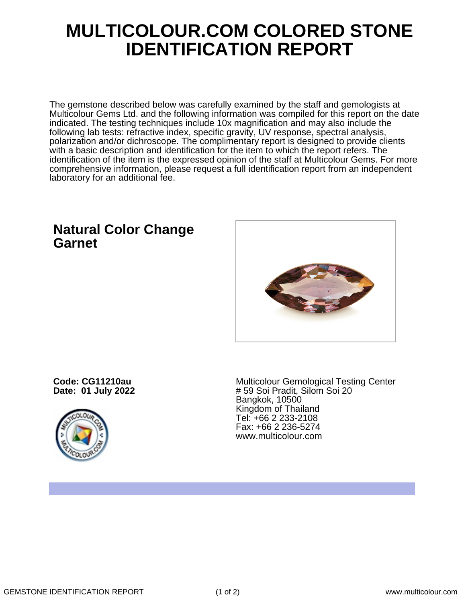## **MULTICOLOUR.COM COLORED STONE IDENTIFICATION REPORT**

The gemstone described below was carefully examined by the staff and gemologists at Multicolour Gems Ltd. and the following information was compiled for this report on the date indicated. The testing techniques include 10x magnification and may also include the following lab tests: refractive index, specific gravity, UV response, spectral analysis, polarization and/or dichroscope. The complimentary report is designed to provide clients with a basic description and identification for the item to which the report refers. The identification of the item is the expressed opinion of the staff at Multicolour Gems. For more comprehensive information, please request a full identification report from an independent laboratory for an additional fee.

## **Natural Color Change Garnet**



**Code: CG11210au Date: 01 July 2022**



Multicolour Gemological Testing Center # 59 Soi Pradit, Silom Soi 20 Bangkok, 10500 Kingdom of Thailand Tel: +66 2 233-2108 Fax: +66 2 236-5274 www.multicolour.com